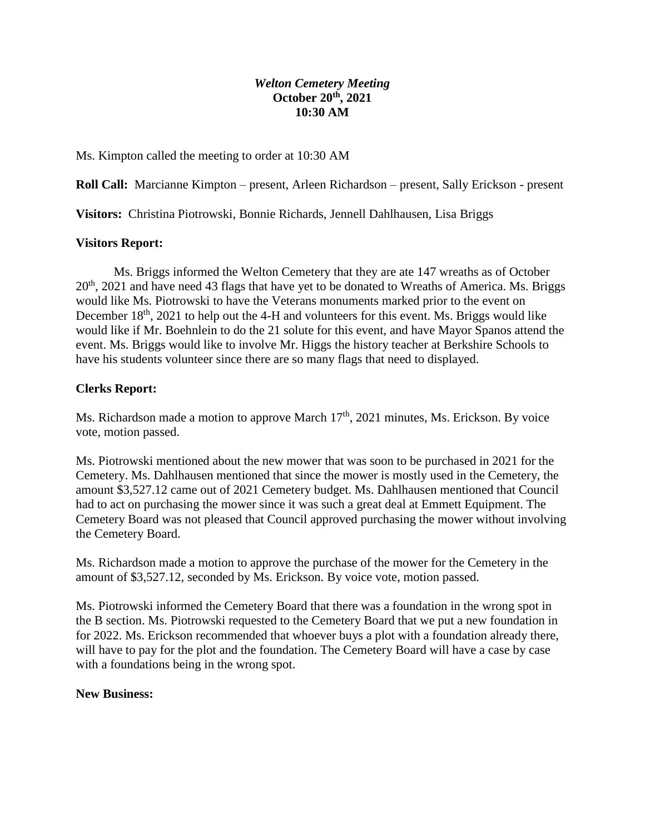## *Welton Cemetery Meeting* **October 20th, 2021 10:30 AM**

Ms. Kimpton called the meeting to order at 10:30 AM

**Roll Call:** Marcianne Kimpton – present, Arleen Richardson – present, Sally Erickson - present

**Visitors:** Christina Piotrowski, Bonnie Richards, Jennell Dahlhausen, Lisa Briggs

## **Visitors Report:**

Ms. Briggs informed the Welton Cemetery that they are ate 147 wreaths as of October  $20<sup>th</sup>$ , 2021 and have need 43 flags that have yet to be donated to Wreaths of America. Ms. Briggs would like Ms. Piotrowski to have the Veterans monuments marked prior to the event on December  $18<sup>th</sup>$ , 2021 to help out the 4-H and volunteers for this event. Ms. Briggs would like would like if Mr. Boehnlein to do the 21 solute for this event, and have Mayor Spanos attend the event. Ms. Briggs would like to involve Mr. Higgs the history teacher at Berkshire Schools to have his students volunteer since there are so many flags that need to displayed.

## **Clerks Report:**

Ms. Richardson made a motion to approve March  $17<sup>th</sup>$ , 2021 minutes, Ms. Erickson. By voice vote, motion passed.

Ms. Piotrowski mentioned about the new mower that was soon to be purchased in 2021 for the Cemetery. Ms. Dahlhausen mentioned that since the mower is mostly used in the Cemetery, the amount \$3,527.12 came out of 2021 Cemetery budget. Ms. Dahlhausen mentioned that Council had to act on purchasing the mower since it was such a great deal at Emmett Equipment. The Cemetery Board was not pleased that Council approved purchasing the mower without involving the Cemetery Board.

Ms. Richardson made a motion to approve the purchase of the mower for the Cemetery in the amount of \$3,527.12, seconded by Ms. Erickson. By voice vote, motion passed.

Ms. Piotrowski informed the Cemetery Board that there was a foundation in the wrong spot in the B section. Ms. Piotrowski requested to the Cemetery Board that we put a new foundation in for 2022. Ms. Erickson recommended that whoever buys a plot with a foundation already there, will have to pay for the plot and the foundation. The Cemetery Board will have a case by case with a foundations being in the wrong spot.

#### **New Business:**